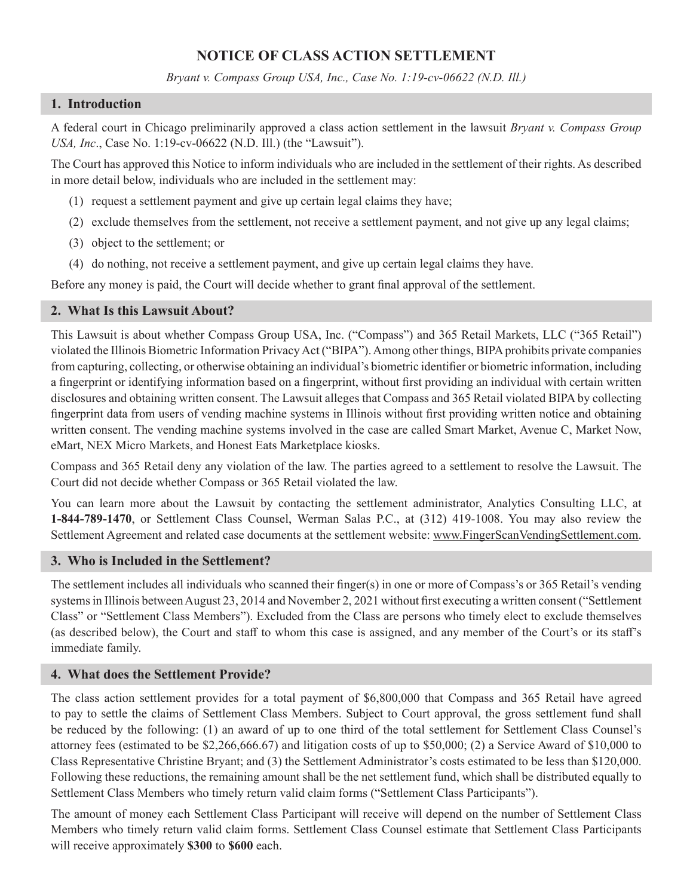# **NOTICE OF CLASS ACTION SETTLEMENT**

*Bryant v. Compass Group USA, Inc., Case No. 1:19-cv-06622 (N.D. Ill.)*

### **1. Introduction**

A federal court in Chicago preliminarily approved a class action settlement in the lawsuit *Bryant v. Compass Group USA, Inc*., Case No. 1:19-cv-06622 (N.D. Ill.) (the "Lawsuit").

The Court has approved this Notice to inform individuals who are included in the settlement of their rights. As described in more detail below, individuals who are included in the settlement may:

- (1) request a settlement payment and give up certain legal claims they have;
- (2) exclude themselves from the settlement, not receive a settlement payment, and not give up any legal claims;
- (3) object to the settlement; or
- (4) do nothing, not receive a settlement payment, and give up certain legal claims they have.

Before any money is paid, the Court will decide whether to grant final approval of the settlement.

# **2. What Is this Lawsuit About?**

This Lawsuit is about whether Compass Group USA, Inc. ("Compass") and 365 Retail Markets, LLC ("365 Retail") violated the Illinois Biometric Information Privacy Act ("BIPA"). Among other things, BIPA prohibits private companies from capturing, collecting, or otherwise obtaining an individual's biometric identifier or biometric information, including a fingerprint or identifying information based on a fingerprint, without first providing an individual with certain written disclosures and obtaining written consent. The Lawsuit alleges that Compass and 365 Retail violated BIPA by collecting fingerprint data from users of vending machine systems in Illinois without first providing written notice and obtaining written consent. The vending machine systems involved in the case are called Smart Market, Avenue C, Market Now, eMart, NEX Micro Markets, and Honest Eats Marketplace kiosks.

Compass and 365 Retail deny any violation of the law. The parties agreed to a settlement to resolve the Lawsuit. The Court did not decide whether Compass or 365 Retail violated the law.

You can learn more about the Lawsuit by contacting the settlement administrator, Analytics Consulting LLC, at **1-844-789-1470**, or Settlement Class Counsel, Werman Salas P.C., at (312) 419-1008. You may also review the Settlement Agreement and related case documents at the settlement website: www.FingerScanVendingSettlement.com.

### **3. Who is Included in the Settlement?**

The settlement includes all individuals who scanned their finger(s) in one or more of Compass's or 365 Retail's vending systems in Illinois between August 23, 2014 and November 2, 2021 without first executing a written consent ("Settlement Class" or "Settlement Class Members"). Excluded from the Class are persons who timely elect to exclude themselves (as described below), the Court and staff to whom this case is assigned, and any member of the Court's or its staff's immediate family.

# **4. What does the Settlement Provide?**

The class action settlement provides for a total payment of \$6,800,000 that Compass and 365 Retail have agreed to pay to settle the claims of Settlement Class Members. Subject to Court approval, the gross settlement fund shall be reduced by the following: (1) an award of up to one third of the total settlement for Settlement Class Counsel's attorney fees (estimated to be \$2,266,666.67) and litigation costs of up to \$50,000; (2) a Service Award of \$10,000 to Class Representative Christine Bryant; and (3) the Settlement Administrator's costs estimated to be less than \$120,000. Following these reductions, the remaining amount shall be the net settlement fund, which shall be distributed equally to Settlement Class Members who timely return valid claim forms ("Settlement Class Participants").

The amount of money each Settlement Class Participant will receive will depend on the number of Settlement Class Members who timely return valid claim forms. Settlement Class Counsel estimate that Settlement Class Participants will receive approximately **\$300** to **\$600** each.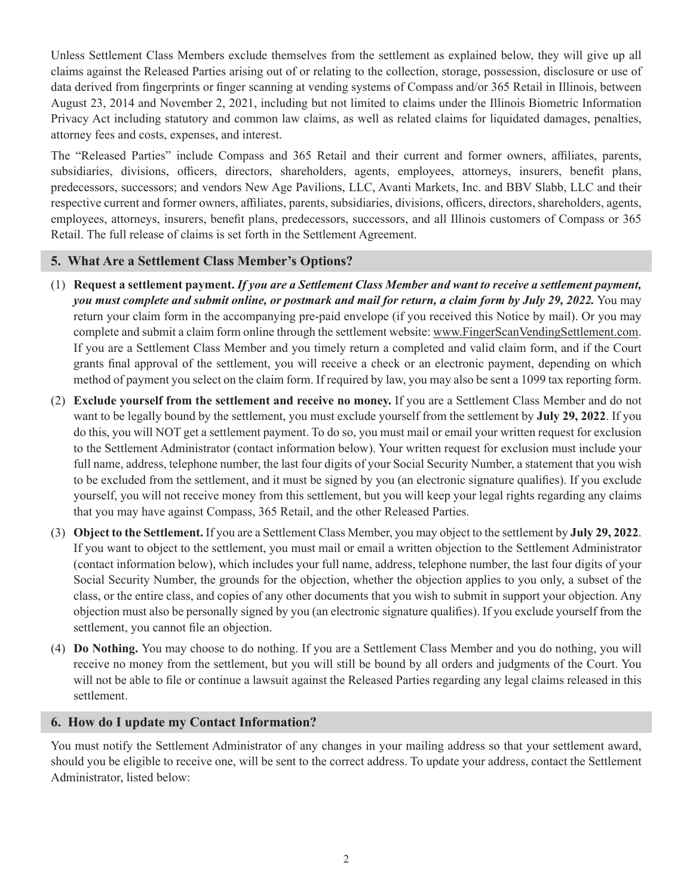Unless Settlement Class Members exclude themselves from the settlement as explained below, they will give up all claims against the Released Parties arising out of or relating to the collection, storage, possession, disclosure or use of data derived from fingerprints or finger scanning at vending systems of Compass and/or 365 Retail in Illinois, between August 23, 2014 and November 2, 2021, including but not limited to claims under the Illinois Biometric Information Privacy Act including statutory and common law claims, as well as related claims for liquidated damages, penalties, attorney fees and costs, expenses, and interest.

The "Released Parties" include Compass and 365 Retail and their current and former owners, affiliates, parents, subsidiaries, divisions, officers, directors, shareholders, agents, employees, attorneys, insurers, benefit plans, predecessors, successors; and vendors New Age Pavilions, LLC, Avanti Markets, Inc. and BBV Slabb, LLC and their respective current and former owners, affiliates, parents, subsidiaries, divisions, officers, directors, shareholders, agents, employees, attorneys, insurers, benefit plans, predecessors, successors, and all Illinois customers of Compass or 365 Retail. The full release of claims is set forth in the Settlement Agreement.

# **5. What Are a Settlement Class Member's Options?**

- (1) **Request a settlement payment.** *If you are a Settlement Class Member and want to receive a settlement payment, you must complete and submit online, or postmark and mail for return, a claim form by July 29, 2022.* You may return your claim form in the accompanying pre-paid envelope (if you received this Notice by mail). Or you may complete and submit a claim form online through the settlement website: www.FingerScanVendingSettlement.com. If you are a Settlement Class Member and you timely return a completed and valid claim form, and if the Court grants final approval of the settlement, you will receive a check or an electronic payment, depending on which method of payment you select on the claim form. If required by law, you may also be sent a 1099 tax reporting form.
- (2) **Exclude yourself from the settlement and receive no money.** If you are a Settlement Class Member and do not want to be legally bound by the settlement, you must exclude yourself from the settlement by **July 29, 2022**. If you do this, you will NOT get a settlement payment. To do so, you must mail or email your written request for exclusion to the Settlement Administrator (contact information below). Your written request for exclusion must include your full name, address, telephone number, the last four digits of your Social Security Number, a statement that you wish to be excluded from the settlement, and it must be signed by you (an electronic signature qualifies). If you exclude yourself, you will not receive money from this settlement, but you will keep your legal rights regarding any claims that you may have against Compass, 365 Retail, and the other Released Parties.
- (3) **Object to the Settlement.** If you are a Settlement Class Member, you may object to the settlement by **July 29, 2022**. If you want to object to the settlement, you must mail or email a written objection to the Settlement Administrator (contact information below), which includes your full name, address, telephone number, the last four digits of your Social Security Number, the grounds for the objection, whether the objection applies to you only, a subset of the class, or the entire class, and copies of any other documents that you wish to submit in support your objection. Any objection must also be personally signed by you (an electronic signature qualifies). If you exclude yourself from the settlement, you cannot file an objection.
- (4) **Do Nothing.** You may choose to do nothing. If you are a Settlement Class Member and you do nothing, you will receive no money from the settlement, but you will still be bound by all orders and judgments of the Court. You will not be able to file or continue a lawsuit against the Released Parties regarding any legal claims released in this settlement.

# **6. How do I update my Contact Information?**

You must notify the Settlement Administrator of any changes in your mailing address so that your settlement award, should you be eligible to receive one, will be sent to the correct address. To update your address, contact the Settlement Administrator, listed below: